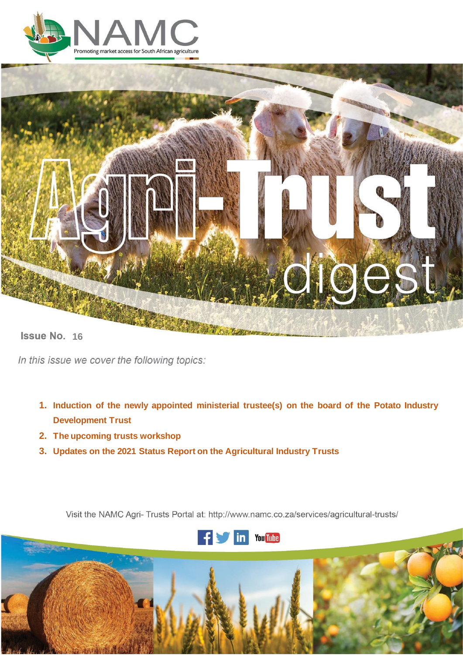



**Issue No. 16** 

In this issue we cover the following topics:

- **1. Induction of the newly appointed ministerial trustee(s) on the board of the Potato Industry Development Trust**
- **2. The upcoming trusts workshop**
- **3. Updates on the 2021 Status Report on the Agricultural Industry Trusts**

Visit the NAMC Agri- Trusts Portal at: http://www.namc.co.za/services/agricultural-trusts/



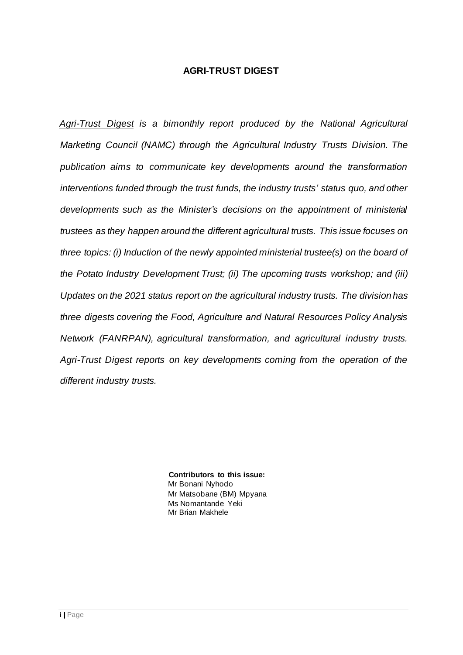### **AGRI-TRUST DIGEST**

*Agri-Trust Digest is a bimonthly report produced by the National Agricultural Marketing Council (NAMC) through the Agricultural Industry Trusts Division. The publication aims to communicate key developments around the transformation interventions funded through the trust funds, the industry trusts' status quo, and other developments such as the Minister's decisions on the appointment of ministerial trustees as they happen around the different agricultural trusts. This issue focuses on three topics: (i) Induction of the newly appointed ministerial trustee(s) on the board of the Potato Industry Development Trust; (ii) The upcoming trusts workshop; and (iii) Updates on the 2021 status report on the agricultural industry trusts. The division has three digests covering the Food, Agriculture and Natural Resources Policy Analysis Network (FANRPAN), agricultural transformation, and agricultural industry trusts. Agri-Trust Digest reports on key developments coming from the operation of the different industry trusts.*

> **Contributors to this issue:** Mr Bonani Nyhodo Mr Matsobane (BM) Mpyana Ms Nomantande Yeki Mr Brian Makhele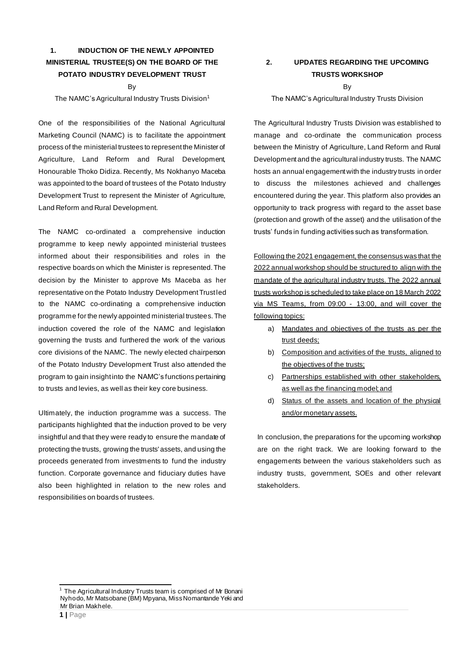# **1. INDUCTION OF THE NEWLY APPOINTED MINISTERIAL TRUSTEE(S) ON THE BOARD OF THE POTATO INDUSTRY DEVELOPMENT TRUST**

#### By

The NAMC's Agricultural Industry Trusts Division<sup>1</sup>

One of the responsibilities of the National Agricultural Marketing Council (NAMC) is to facilitate the appointment process of the ministerial trustees to represent the Minister of Agriculture, Land Reform and Rural Development, Honourable Thoko Didiza. Recently, Ms Nokhanyo Maceba was appointed to the board of trustees of the Potato Industry Development Trust to represent the Minister of Agriculture, Land Reform and Rural Development.

The NAMC co-ordinated a comprehensive induction programme to keep newly appointed ministerial trustees informed about their responsibilities and roles in the respective boards on which the Minister is represented. The decision by the Minister to approve Ms Maceba as her representative on the Potato Industry Development Trust led to the NAMC co-ordinating a comprehensive induction programme for the newly appointed ministerial trustees.The induction covered the role of the NAMC and legislation governing the trusts and furthered the work of the various core divisions of the NAMC. The newly elected chairperson of the Potato Industry Development Trust also attended the program to gain insight into the NAMC's functions pertaining to trusts and levies, as well as their key core business.

Ultimately, the induction programme was a success. The participants highlighted that the induction proved to be very insightful and that they were ready to ensure the mandate of protecting the trusts, growing the trusts' assets, and using the proceeds generated from investments to fund the industry function. Corporate governance and fiduciary duties have also been highlighted in relation to the new roles and responsibilities on boards of trustees.

## **2. UPDATES REGARDING THE UPCOMING TRUSTS WORKSHOP**

#### By

#### The NAMC's Agricultural Industry Trusts Division

The Agricultural Industry Trusts Division was established to manage and co-ordinate the communication process between the Ministry of Agriculture, Land Reform and Rural Development and the agricultural industry trusts. The NAMC hosts an annual engagement with the industry trusts in order to discuss the milestones achieved and challenges encountered during the year. This platform also provides an opportunity to track progress with regard to the asset base (protection and growth of the asset) and the utilisation of the trusts' funds in funding activities such as transformation.

Following the 2021 engagement, the consensus was that the 2022 annual workshop should be structured to align with the mandate of the agricultural industry trusts. The 2022 annual trusts workshop is scheduled to take place on 18 March 2022 via MS Teams, from 09:00 - 13:00, and will cover the following topics:

- a) Mandates and objectives of the trusts as per the trust deeds;
- b) Composition and activities of the trusts, aligned to the objectives of the trusts;
- c) Partnerships established with other stakeholders, as well as the financing model; and
- d) Status of the assets and location of the physical and/or monetary assets.

In conclusion, the preparations for the upcoming workshop are on the right track. We are looking forward to the engagements between the various stakeholders such as industry trusts, government, SOEs and other relevant stakeholders.

The Agricultural Industry Trusts team is comprised of Mr Bonani Nyhodo, Mr Matsobane (BM) Mpyana, Miss Nomantande Yeki and Mr Brian Makhele.